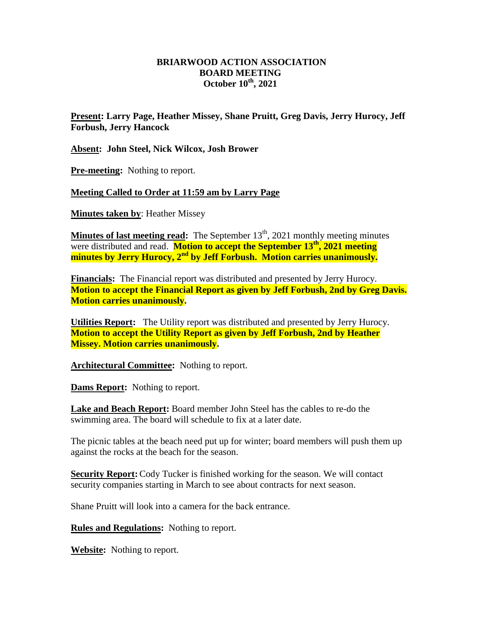## **BRIARWOOD ACTION ASSOCIATION BOARD MEETING October 10 th, 2021**

**Present: Larry Page, Heather Missey, Shane Pruitt, Greg Davis, Jerry Hurocy, Jeff Forbush, Jerry Hancock**

**Absent: John Steel, Nick Wilcox, Josh Brower**

**Pre-meeting:** Nothing to report.

**Meeting Called to Order at 11:59 am by Larry Page**

**Minutes taken by**: Heather Missey

**Minutes of last meeting read:** The September 13<sup>th</sup>, 2021 monthly meeting minutes were distributed and read. **Motion to accept the September 13 th, 2021 meeting minutes by Jerry Hurocy, 2nd by Jeff Forbush. Motion carries unanimously.**

**Financials:** The Financial report was distributed and presented by Jerry Hurocy. **Motion to accept the Financial Report as given by Jeff Forbush, 2nd by Greg Davis. Motion carries unanimously.** 

**Utilities Report:** The Utility report was distributed and presented by Jerry Hurocy. **Motion to accept the Utility Report as given by Jeff Forbush, 2nd by Heather Missey. Motion carries unanimously.** 

Architectural Committee: Nothing to report.

**Dams Report:** Nothing to report.

**Lake and Beach Report:** Board member John Steel has the cables to re-do the swimming area. The board will schedule to fix at a later date.

The picnic tables at the beach need put up for winter; board members will push them up against the rocks at the beach for the season.

**Security Report:** Cody Tucker is finished working for the season. We will contact security companies starting in March to see about contracts for next season.

Shane Pruitt will look into a camera for the back entrance.

**Rules and Regulations:** Nothing to report.

**Website:** Nothing to report.